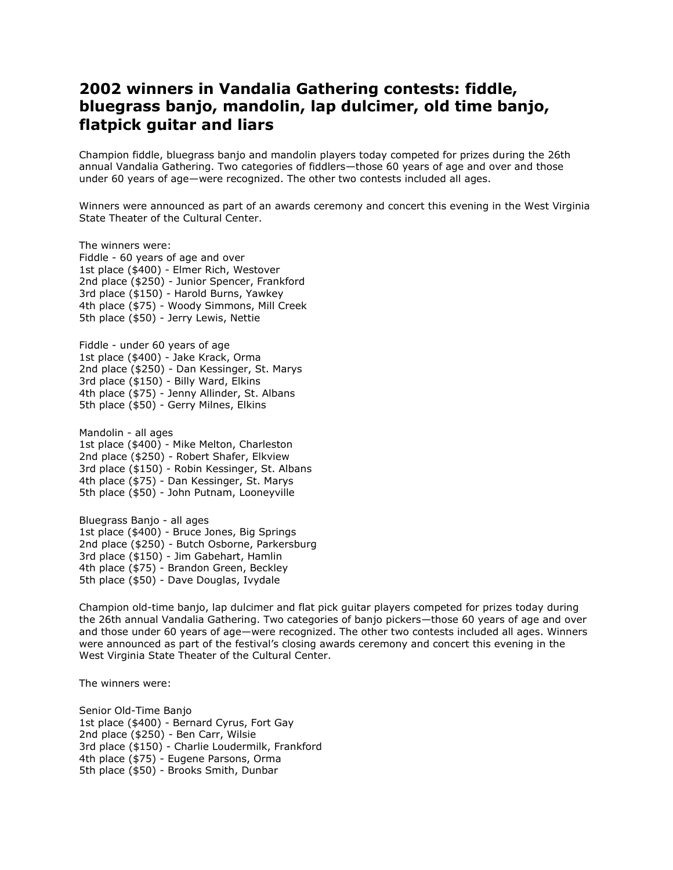## **2002 winners in Vandalia Gathering contests: fiddle, bluegrass banjo, mandolin, lap dulcimer, old time banjo, flatpick guitar and liars**

Champion fiddle, bluegrass banjo and mandolin players today competed for prizes during the 26th annual Vandalia Gathering. Two categories of fiddlers—those 60 years of age and over and those under 60 years of age—were recognized. The other two contests included all ages.

Winners were announced as part of an awards ceremony and concert this evening in the West Virginia State Theater of the Cultural Center.

The winners were: Fiddle - 60 years of age and over 1st place (\$400) - Elmer Rich, Westover 2nd place (\$250) - Junior Spencer, Frankford 3rd place (\$150) - Harold Burns, Yawkey 4th place (\$75) - Woody Simmons, Mill Creek 5th place (\$50) - Jerry Lewis, Nettie Fiddle - under 60 years of age 1st place (\$400) - Jake Krack, Orma 2nd place (\$250) - Dan Kessinger, St. Marys 3rd place (\$150) - Billy Ward, Elkins 4th place (\$75) - Jenny Allinder, St. Albans 5th place (\$50) - Gerry Milnes, Elkins

Mandolin - all ages 1st place (\$400) - Mike Melton, Charleston 2nd place (\$250) - Robert Shafer, Elkview 3rd place (\$150) - Robin Kessinger, St. Albans 4th place (\$75) - Dan Kessinger, St. Marys 5th place (\$50) - John Putnam, Looneyville

Bluegrass Banjo - all ages 1st place (\$400) - Bruce Jones, Big Springs 2nd place (\$250) - Butch Osborne, Parkersburg 3rd place (\$150) - Jim Gabehart, Hamlin 4th place (\$75) - Brandon Green, Beckley 5th place (\$50) - Dave Douglas, Ivydale

Champion old-time banjo, lap dulcimer and flat pick guitar players competed for prizes today during the 26th annual Vandalia Gathering. Two categories of banjo pickers—those 60 years of age and over and those under 60 years of age—were recognized. The other two contests included all ages. Winners were announced as part of the festival's closing awards ceremony and concert this evening in the West Virginia State Theater of the Cultural Center.

The winners were:

Senior Old-Time Banjo 1st place (\$400) - Bernard Cyrus, Fort Gay 2nd place (\$250) - Ben Carr, Wilsie 3rd place (\$150) - Charlie Loudermilk, Frankford 4th place (\$75) - Eugene Parsons, Orma 5th place (\$50) - Brooks Smith, Dunbar